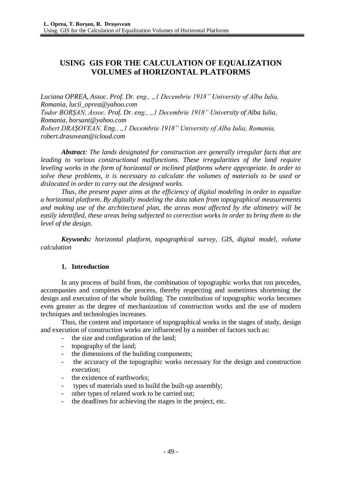# **USING GIS FOR THE CALCULATION OF EQUALIZATION VOLUMES of HORIZONTAL PLATFORMS**

*Luciana OPREA, Assoc. Prof. Dr. eng., "1 Decembrie 1918" University of Alba Iulia, Romania, lucii\_oprea@yahoo.com Tudor BORȘAN, Assoc. Prof. Dr. eng., "1 Decembrie 1918" University of Alba Iulia, Romania, borsant@yahoo.com Robert DRAȘOVEAN, Eng., "1 Decembrie 1918" University of Alba Iulia, Romania, [robert.drasovean@icloud.com](mailto:robert.drasovean@icloud.com)*

*Abstract: The lands designated for construction are generally irregular facts that are leading to various constructional malfunctions. These irregularities of the land require leveling works in the form of horizontal or inclined platforms where appropriate. In order to solve these problems, it is necessary to calculate the volumes of materials to be used or dislocated in order to carry out the designed works.*

*Thus, the present paper aims at the efficiency of digital modeling in order to equalize a horizontal platform. By digitally modeling the data taken from topographical measurements and making use of the architectural plan, the areas most affected by the altimetry will be easily identified, these areas being subjected to correction works in order to bring them to the level of the design.*

*Keywords: horizontal platform, topographical survey, GIS, digital model, volume calculation*

# **1. Introduction**

In any process of build from, the combination of topographic works that run precedes, accompanies and completes the process, thereby respecting and sometimes shortening the design and execution of the whole building. The contribution of topographic works becomes even greater as the degree of mechanization of construction works and the use of modern techniques and technologies increases.

Thus, the content and importance of topographical works in the stages of study, design and execution of construction works are influenced by a number of factors such as:

- the size and configuration of the land;
- topography of the land;
- the dimensions of the building components;
- the accuracy of the topographic works necessary for the design and construction execution;
- the existence of earthworks;
- types of materials used to build the built-up assembly;
- other types of related work to be carried out:
- the deadlines for achieving the stages in the project, etc.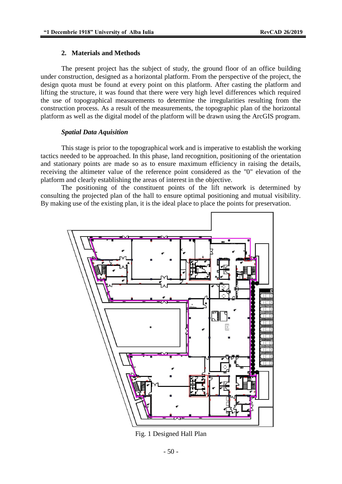#### **2. Materials and Methods**

The present project has the subject of study, the ground floor of an office building under construction, designed as a horizontal platform. From the perspective of the project, the design quota must be found at every point on this platform. After casting the platform and lifting the structure, it was found that there were very high level differences which required the use of topographical measurements to determine the irregularities resulting from the construction process. As a result of the measurements, the topographic plan of the horizontal platform as well as the digital model of the platform will be drawn using the ArcGIS program.

### *Spatial Data Aquisition*

This stage is prior to the topographical work and is imperative to establish the working tactics needed to be approached. In this phase, land recognition, positioning of the orientation and stationary points are made so as to ensure maximum efficiency in raising the details, receiving the altimeter value of the reference point considered as the "0" elevation of the platform and clearly establishing the areas of interest in the objective.

The positioning of the constituent points of the lift network is determined by consulting the projected plan of the hall to ensure optimal positioning and mutual visibility. By making use of the existing plan, it is the ideal place to place the points for preservation.



Fig. 1 Designed Hall Plan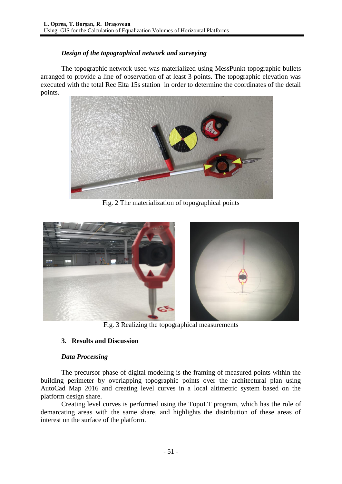# *Design of the topographical network and surveying*

The topographic network used was materialized using MessPunkt topographic bullets arranged to provide a line of observation of at least 3 points. The topographic elevation was executed with the total Rec Elta 15s station in order to determine the coordinates of the detail points.



Fig. 2 The materialization of topographical points



Fig. 3 Realizing the topographical measurements

# **3. Results and Discussion**

### *Data Processing*

The precursor phase of digital modeling is the framing of measured points within the building perimeter by overlapping topographic points over the architectural plan using AutoCad Map 2016 and creating level curves in a local altimetric system based on the platform design share.

Creating level curves is performed using the TopoLT program, which has the role of demarcating areas with the same share, and highlights the distribution of these areas of interest on the surface of the platform.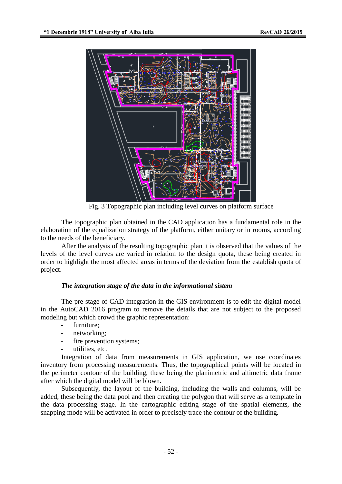

Fig. 3 Topographic plan including level curves on platform surface

The topographic plan obtained in the CAD application has a fundamental role in the elaboration of the equalization strategy of the platform, either unitary or in rooms, according to the needs of the beneficiary.

After the analysis of the resulting topographic plan it is observed that the values of the levels of the level curves are varied in relation to the design quota, these being created in order to highlight the most affected areas in terms of the deviation from the establish quota of project.

#### *The integration stage of the data in the informational sistem*

The pre-stage of CAD integration in the GIS environment is to edit the digital model in the AutoCAD 2016 program to remove the details that are not subject to the proposed modeling but which crowd the graphic representation:

- furniture:
- networking;
- fire prevention systems;
- utilities, etc.

Integration of data from measurements in GIS application, we use coordinates inventory from processing measurements. Thus, the topographical points will be located in the perimeter contour of the building, these being the planimetric and altimetric data frame after which the digital model will be blown.

Subsequently, the layout of the building, including the walls and columns, will be added, these being the data pool and then creating the polygon that will serve as a template in the data processing stage. In the cartographic editing stage of the spatial elements, the snapping mode will be activated in order to precisely trace the contour of the building.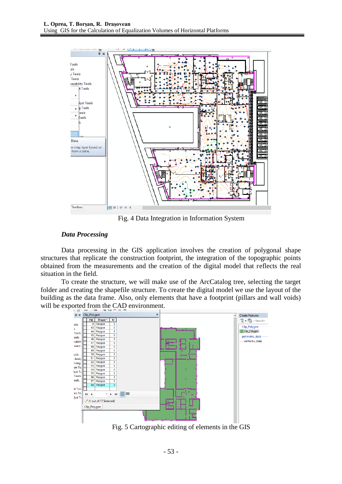

Fig. 4 Data Integration in Information System

### *Data Processing*

Data processing in the GIS application involves the creation of polygonal shape structures that replicate the construction footprint, the integration of the topographic points obtained from the measurements and the creation of the digital model that reflects the real situation in the field.

To create the structure, we will make use of the ArcCatalog tree, selecting the target folder and creating the shapefile structure. To create the digital model we use the layout of the building as the data frame. Also, only elements that have a footprint (pillars and wall voids) will be exported from the CAD environment.



Fig. 5 Cartographic editing of elements in the GIS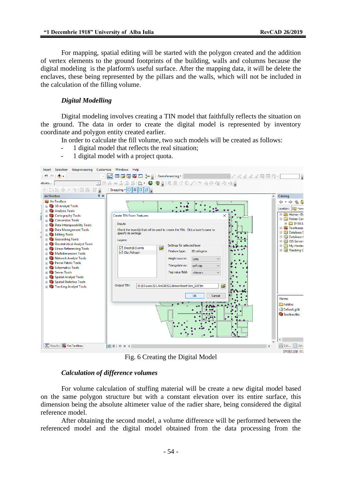For mapping, spatial editing will be started with the polygon created and the addition of vertex elements to the ground footprints of the building, walls and columns because the digital modeling is the platform's useful surface. After the mapping data, it will be delete the enclaves, these being represented by the pillars and the walls, which will not be included in the calculation of the filling volume.

#### *Digital Modelling*

Digital modeling involves creating a TIN model that faithfully reflects the situation on the ground. The data in order to create the digital model is represented by inventory coordinate and polygon entity created earlier.

In order to calculate the fill volume, two such models will be created as follows:

- 1 digital model that reflects the real situation;
- 1 digital model with a project quota.

|        | Insert Selection Geoprocessing Customize Windows Help                                                                                                                                                                                                                                                                                                                                                                                                                                                                                                                                                                          |            |                                                                                                                |                                                                                                                                         |  |                                                                                                                                                             |                                                                                                                        |              |               |                                                                                                                                                                                                                                                     |
|--------|--------------------------------------------------------------------------------------------------------------------------------------------------------------------------------------------------------------------------------------------------------------------------------------------------------------------------------------------------------------------------------------------------------------------------------------------------------------------------------------------------------------------------------------------------------------------------------------------------------------------------------|------------|----------------------------------------------------------------------------------------------------------------|-----------------------------------------------------------------------------------------------------------------------------------------|--|-------------------------------------------------------------------------------------------------------------------------------------------------------------|------------------------------------------------------------------------------------------------------------------------|--------------|---------------|-----------------------------------------------------------------------------------------------------------------------------------------------------------------------------------------------------------------------------------------------------|
|        | $\mathfrak{H} \subset \mathfrak{g}$                                                                                                                                                                                                                                                                                                                                                                                                                                                                                                                                                                                            |            |                                                                                                                |                                                                                                                                         |  | $\ \angle' \boxplus\Box\boxdot\boxdot\boxdot $ is Georeferencing $\cdot\ $                                                                                  |                                                                                                                        | √←☆☆☆☆☆国目2 - |               |                                                                                                                                                                                                                                                     |
| atures |                                                                                                                                                                                                                                                                                                                                                                                                                                                                                                                                                                                                                                |            |                                                                                                                |                                                                                                                                         |  | ka ka la sil de la porte de la porte de la porte de                                                                                                         |                                                                                                                        |              |               |                                                                                                                                                                                                                                                     |
|        | 米尼亚中文 列国冈图言                                                                                                                                                                                                                                                                                                                                                                                                                                                                                                                                                                                                                    |            |                                                                                                                |                                                                                                                                         |  |                                                                                                                                                             |                                                                                                                        |              |               |                                                                                                                                                                                                                                                     |
|        | <b>ArcToolbox</b>                                                                                                                                                                                                                                                                                                                                                                                                                                                                                                                                                                                                              | $4 \times$ |                                                                                                                |                                                                                                                                         |  |                                                                                                                                                             |                                                                                                                        |              |               | Catalog                                                                                                                                                                                                                                             |
|        | ArcToolbox<br><b>ED</b> 3D Analyst Tools<br><b>ED</b> Analysis Tools<br><b>Ed Cartography Tools</b><br><b>Ed Conversion Tools</b><br><b>Ed Data Interoperability Tools</b><br><b>Ed Data Management Tools</b><br>Editing Tools<br><b>Ed Geocoding Tools</b><br>Geostatistical Analyst Tools<br><b>Example 2</b> Linear Referencing Tools<br><b>Ed Multidimension Tools</b><br><b>Ed Network Analyst Tools</b><br><b>File Parcel Fabric Tools</b><br><b>Executive Schematics Tools</b><br><b>Exp. Server Tools</b><br><b>Ed Spatial Analyst Tools</b><br><b>Ed Spatial Statistics Tools</b><br><b>Ed Tracking Analyst Tools</b> |            | <b>Create TIN From Features</b><br>Inputs<br>specify its settings.<br>Layers:<br>√ Clip_Polygon<br>Output TIN: | $\Box$<br>Check the layer(s) that will be used to create the TIN. Click a layer's name to<br>Ê<br>$\sqrt{\phantom{a}}$ Sheet 1\$ Events |  | Settings for selected layer<br>Feature type:<br>Height source:<br>Triangulate as:<br>Tag value field:<br>D:\03.Lucru\01.ArcGIS\02.Birouri Bosch\Arc_GIS\tin | $\overline{a}$<br>2D polygons<br>Cota<br>soft dip<br>$\checkmark$<br>$<$ None $>$<br>$\checkmark$<br>B<br>OK<br>Cancel |              |               | ⇔ → ⇒<br>俗名<br>Location: <b>Ex</b> Home<br>⊞ as Home - Do<br>□ Folder Cor<br><b>⊞ ■ D:\03.L</b><br><b>El Fa Toolboxes</b><br><b>ED</b> Database S<br>El Database (<br>田 <b>同 GIS Servers</b><br><b>⊞ ■ My Hosted</b><br>E <b>Tracking C</b><br>Name |
|        |                                                                                                                                                                                                                                                                                                                                                                                                                                                                                                                                                                                                                                |            |                                                                                                                |                                                                                                                                         |  |                                                                                                                                                             |                                                                                                                        |              |               | Addins<br>Default.gdb<br>Toolbox.tbx<br>∢                                                                                                                                                                                                           |
|        | Results <b>ArcToolbox</b>                                                                                                                                                                                                                                                                                                                                                                                                                                                                                                                                                                                                      |            | B B C H C                                                                                                      |                                                                                                                                         |  |                                                                                                                                                             |                                                                                                                        |              | $\rightarrow$ | $\boxed{\wedge}$ Edi $\boxed{\mathbb{H}}$ Att.                                                                                                                                                                                                      |
|        |                                                                                                                                                                                                                                                                                                                                                                                                                                                                                                                                                                                                                                |            |                                                                                                                |                                                                                                                                         |  |                                                                                                                                                             |                                                                                                                        |              |               | 371303.638 512                                                                                                                                                                                                                                      |

Fig. 6 Creating the Digital Model

#### *Calculation of difference volumes*

For volume calculation of stuffing material will be create a new digital model based on the same polygon structure but with a constant elevation over its entire surface, this dimension being the absolute altimeter value of the radier share, being considered the digital reference model.

After obtaining the second model, a volume difference will be performed between the referenced model and the digital model obtained from the data processing from the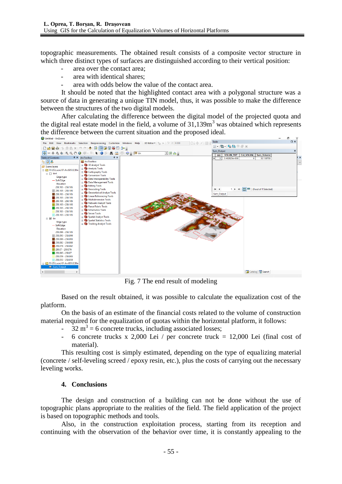topographic measurements. The obtained result consists of a composite vector structure in which three distinct types of surfaces are distinguished according to their vertical position:

- area over the contact area;
- area with identical shares:
- area with odds below the value of the contact area.

It should be noted that the highlighted contact area with a polygonal structure was a source of data in generating a unique TIN model, thus, it was possible to make the difference between the structures of the two digital models.

After calculating the difference between the digital model of the projected quota and the digital real estate model in the field, a volume of  $31.139m<sup>3</sup>$  was obtained which represents the difference between the current situation and the proposed ideal.



Fig. 7 The end result of modeling

Based on the result obtained, it was possible to calculate the equalization cost of the platform.

On the basis of an estimate of the financial costs related to the volume of construction material required for the equalization of quotas within the horizontal platform, it follows:

- $-32 \text{ m}^3$  = 6 concrete trucks, including associated losses;
- 6 concrete trucks x 2,000 Lei / per concrete truck = 12,000 Lei (final cost of material).

This resulting cost is simply estimated, depending on the type of equalizing material (concrete / self-leveling screed / epoxy resin, etc.), plus the costs of carrying out the necessary leveling works.

### **4. Conclusions**

The design and construction of a building can not be done without the use of topographic plans appropriate to the realities of the field. The field application of the project is based on topographic methods and tools.

Also, in the construction exploitation process, starting from its reception and continuing with the observation of the behavior over time, it is constantly appealing to the